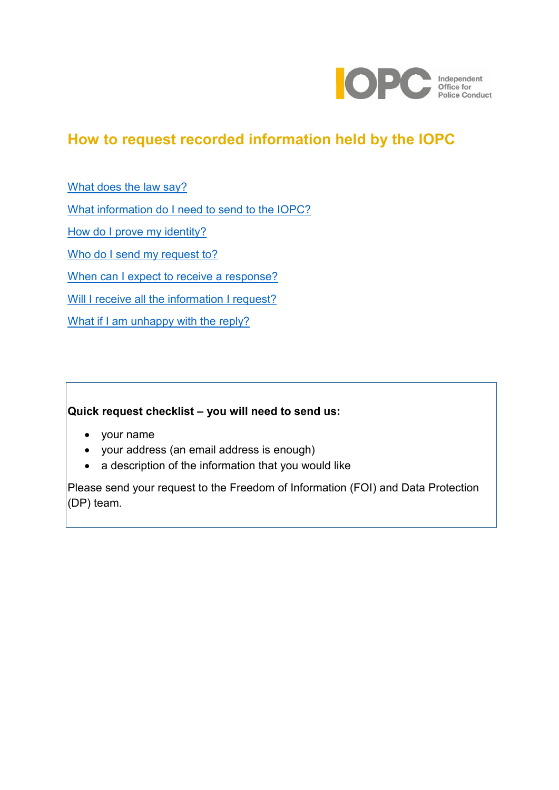

# <span id="page-0-0"></span>**How to request recorded information held by the IOPC**

[What does the law say?](#page-1-0)

[What information do I need to send to the IOPC?](#page-1-1)

[How do I prove my identity?](#page-1-2)

[Who do I send my request to?](#page-2-0)

[When can I expect to receive a response?](#page-2-1)

[Will I receive all the information I request?](#page-2-2)

[What if I am unhappy with the reply?](#page-3-0)

# **Quick request checklist – you will need to send us:**

- your name
- your address (an email address is enough)
- a description of the information that you would like

Please send your request to the Freedom of Information (FOI) and Data Protection  $\vert$ (DP) team.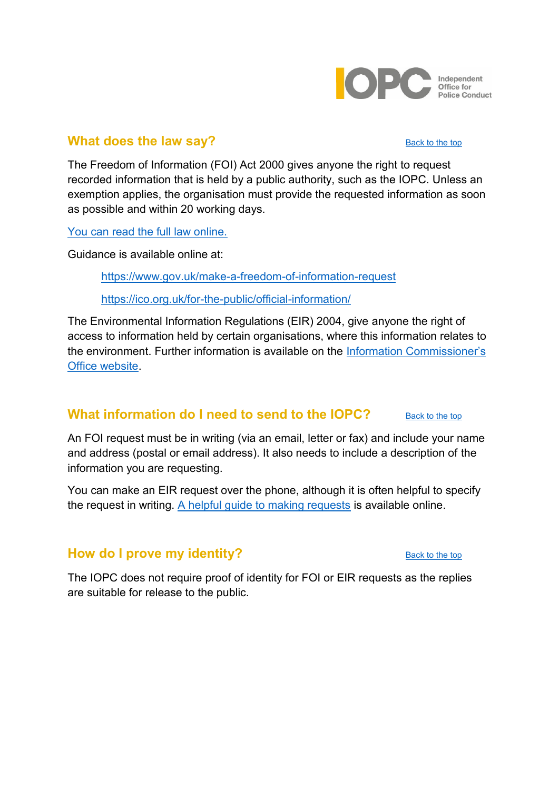

### <span id="page-1-0"></span>**What does the law say?** [Back to the top](#page-0-0) Back to the top

The Freedom of Information (FOI) Act 2000 gives anyone the right to request recorded information that is held by a public authority, such as the IOPC. Unless an exemption applies, the organisation must provide the requested information as soon as possible and within 20 working days.

[You can read the full law online.](http://www.legislation.gov.uk/ukpga/2000/36/contents)

Guidance is available online at:

<https://www.gov.uk/make-a-freedom-of-information-request>

<https://ico.org.uk/for-the-public/official-information/>

The Environmental Information Regulations (EIR) 2004, give anyone the right of access to information held by certain organisations, where this information relates to the environment. Further information is available on the [Information Commissioner's](https://ico.org.uk/)  [Office website.](https://ico.org.uk/)

# <span id="page-1-1"></span>**What information do I need to send to the IOPC?** [Back to the top](#page-0-0)

An FOI request must be in writing (via an email, letter or fax) and include your name and address (postal or email address). It also needs to include a description of the information you are requesting.

You can make an EIR request over the phone, although it is often helpful to specify the request in writing. [A helpful guide to making requests](https://ico.org.uk/for-the-public/official-information/) is available online.

# <span id="page-1-2"></span>**How do I prove my identity?** [Back to the top](#page-0-0) Back to the top

The IOPC does not require proof of identity for FOI or EIR requests as the replies are suitable for release to the public.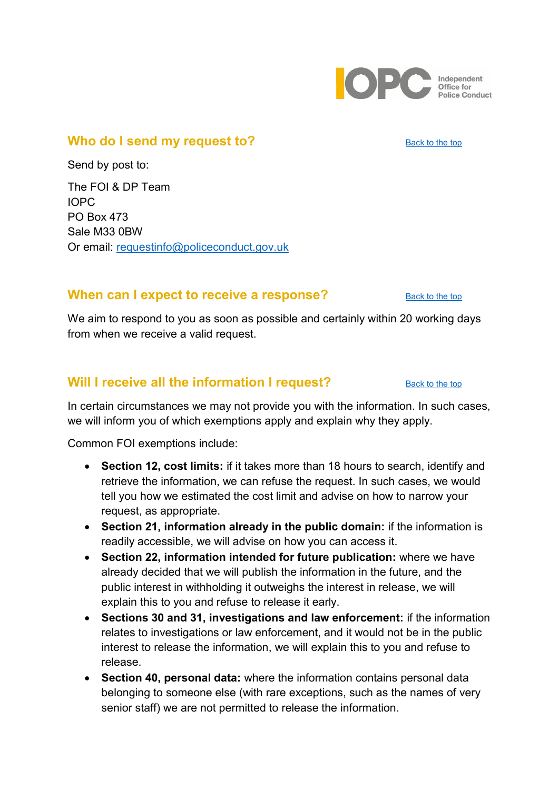

### <span id="page-2-0"></span>**Who do I send my request to?** [Back to the top](#page-0-0) Back to the top

Send by post to:

The FOI & DP Team IOPC PO Box 473 Sale M33 0BW Or email: requestinfo@policeconduct.gov.uk

### <span id="page-2-1"></span>**When can I expect to receive a response?** [Back to the top](#page-0-0)

We aim to respond to you as soon as possible and certainly within 20 working days from when we receive a valid request.

# <span id="page-2-2"></span>**Will I receive all the information I request?** [Back to the top](#page-0-0)

In certain circumstances we may not provide you with the information. In such cases,

we will inform you of which exemptions apply and explain why they apply.

Common FOI exemptions include:

- **Section 12, cost limits:** if it takes more than 18 hours to search, identify and retrieve the information, we can refuse the request. In such cases, we would tell you how we estimated the cost limit and advise on how to narrow your request, as appropriate.
- **Section 21, information already in the public domain:** if the information is readily accessible, we will advise on how you can access it.
- **Section 22, information intended for future publication:** where we have already decided that we will publish the information in the future, and the public interest in withholding it outweighs the interest in release, we will explain this to you and refuse to release it early.
- **Sections 30 and 31, investigations and law enforcement:** if the information relates to investigations or law enforcement, and it would not be in the public interest to release the information, we will explain this to you and refuse to release.
- **Section 40, personal data:** where the information contains personal data belonging to someone else (with rare exceptions, such as the names of very senior staff) we are not permitted to release the information.